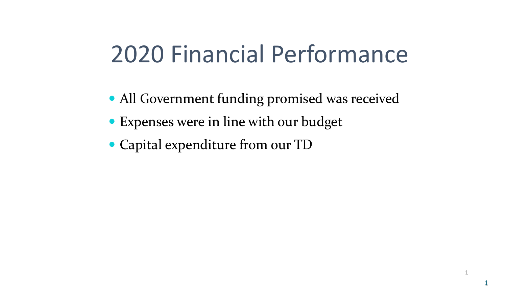# 2020 Financial Performance

• All Government funding promised was received

1

1

- Expenses were in line with our budget
- Capital expenditure from our TD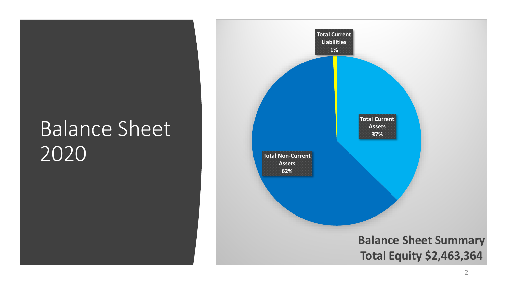# Balance Sheet 2020

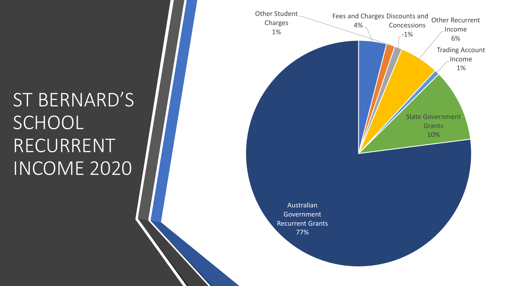# ST BERNARD'S **SCHOOL** RECURRENT INCOME 2020

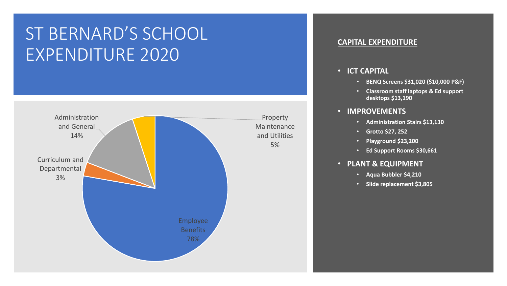## ST BERNARD'S SCHOOL EXPENDITURE 2020



#### **CAPITAL EXPENDITURE**

#### • **ICT CAPITAL**

- **BENQ Screens \$31,020 (\$10,000 P&F)**
- **Classroom staff laptops & Ed support desktops \$13,190**

#### • **IMPROVEMENTS**

- **Administration Stairs \$13,130**
- **Grotto \$27, 252**
- **Playground \$23,200**
- **Ed Support Rooms \$30,661**
- **PLANT & EQUIPMENT**
	- **Aqua Bubbler \$4,210**
	- **Slide replacement \$3,805**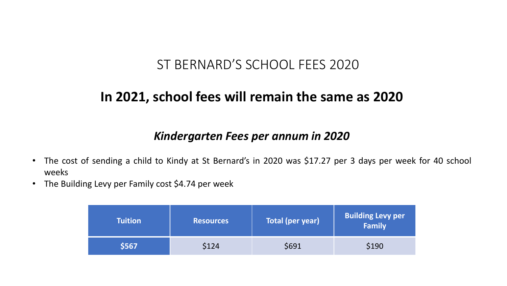## ST BERNARD'S SCHOOL FEES 2020

## **In 2021, school fees will remain the same as 2020**

## *Kindergarten Fees per annum in 2020*

- The cost of sending a child to Kindy at St Bernard's in 2020 was \$17.27 per 3 days per week for 40 school weeks
- The Building Levy per Family cost \$4.74 per week

| <b>Tuition</b> | <b>Resources</b> | <b>Total (per year)</b> | <b>Building Levy per</b><br>Family |  |
|----------------|------------------|-------------------------|------------------------------------|--|
| \$567          | \$124            | \$691                   | \$190                              |  |